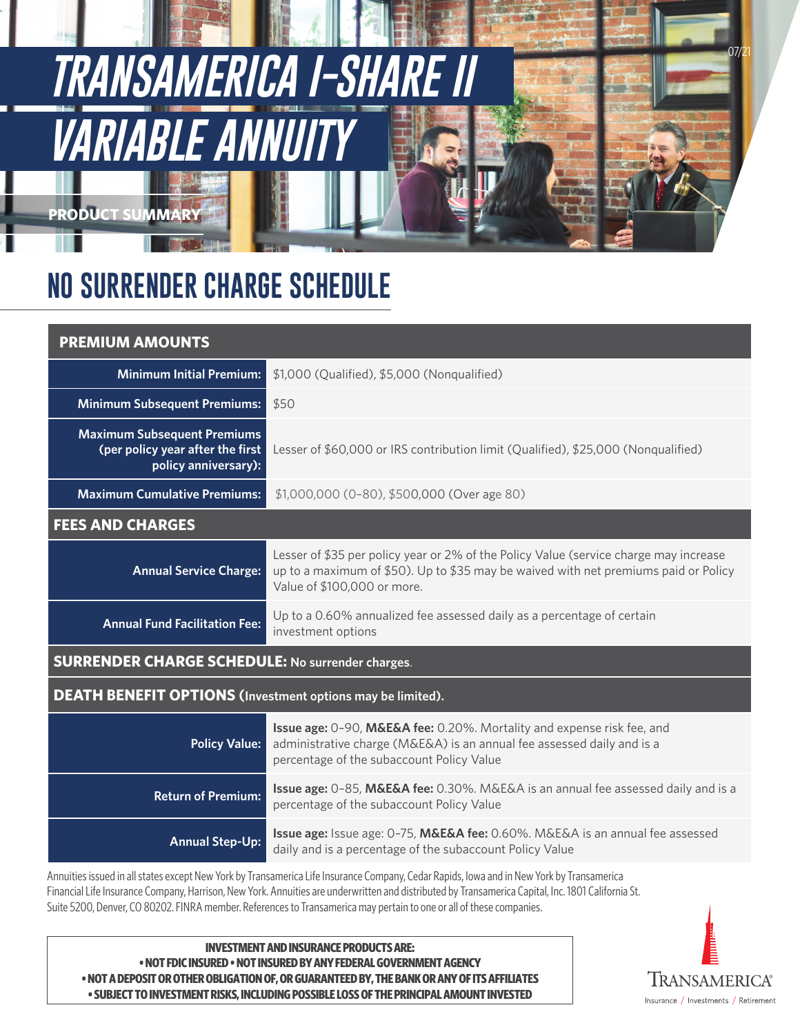# **TRANSAMERICA I-SHARE** *VARIABLE A*

**NO SURRENDER CHARGE SCHEDULE**

# **PREMIUM AMOUNTS**

**PRODUCT SUMMARY**

| <b>Minimum Initial Premium:</b>                                                                                                           | \$1,000 (Qualified), \$5,000 (Nonqualified)                                                                                                                                                                 |
|-------------------------------------------------------------------------------------------------------------------------------------------|-------------------------------------------------------------------------------------------------------------------------------------------------------------------------------------------------------------|
| <b>Minimum Subsequent Premiums:</b>                                                                                                       | \$50                                                                                                                                                                                                        |
| <b>Maximum Subsequent Premiums</b><br>(per policy year after the first<br>policy anniversary):                                            | Lesser of \$60,000 or IRS contribution limit (Qualified), \$25,000 (Nonqualified)                                                                                                                           |
| <b>Maximum Cumulative Premiums:</b>                                                                                                       | \$1,000,000 (0-80), \$500,000 (Over age 80)                                                                                                                                                                 |
| <b>FEES AND CHARGES</b>                                                                                                                   |                                                                                                                                                                                                             |
| <b>Annual Service Charge:</b>                                                                                                             | Lesser of \$35 per policy year or 2% of the Policy Value (service charge may increase<br>up to a maximum of \$50). Up to \$35 may be waived with net premiums paid or Policy<br>Value of \$100,000 or more. |
| <b>Annual Fund Facilitation Fee:</b>                                                                                                      | Up to a 0.60% annualized fee assessed daily as a percentage of certain<br>investment options                                                                                                                |
| <b>SURRENDER CHARGE SCHEDULE: No surrender charges.</b>                                                                                   |                                                                                                                                                                                                             |
| <b>DEATH BENEFIT OPTIONS</b> (Investment options may be limited).                                                                         |                                                                                                                                                                                                             |
| <b>Policy Value:</b>                                                                                                                      | Issue age: 0-90, M&E&A fee: 0.20%. Mortality and expense risk fee, and<br>administrative charge (M&E&A) is an annual fee assessed daily and is a<br>percentage of the subaccount Policy Value               |
| <b>Return of Premium:</b>                                                                                                                 | Issue age: 0-85, M&E&A fee: 0.30%. M&E&A is an annual fee assessed daily and is a<br>percentage of the subaccount Policy Value                                                                              |
| <b>Annual Step-Up:</b>                                                                                                                    | Issue age: Issue age: 0-75, M&E&A fee: 0.60%. M&E&A is an annual fee assessed<br>daily and is a percentage of the subaccount Policy Value                                                                   |
| Annuities issued in all states except New York by Transamerica Life Insurance Company, Cedar Rapids, Iowa and in New York by Transamerica |                                                                                                                                                                                                             |

Financial Life Insurance Company, Harrison, New York. Annuities are underwritten and distributed by Transamerica Capital, Inc. 1801 California St. Suite 5200, Denver, CO 80202. FINRA member. References to Transamerica may pertain to one or all of these companies.

**INVESTMENT AND INSURANCE PRODUCTS ARE: • NOT FDIC INSURED • NOT INSURED BY ANY FEDERAL GOVERNMENT AGENCY • NOT A DEPOSIT OR OTHER OBLIGATION OF, OR GUARANTEED BY, THE BANK OR ANY OF ITS AFFILIATES • SUBJECT TO INVESTMENT RISKS, INCLUDING POSSIBLE LOSS OF THE PRINCIPAL AMOUNT INVESTED** 



07/21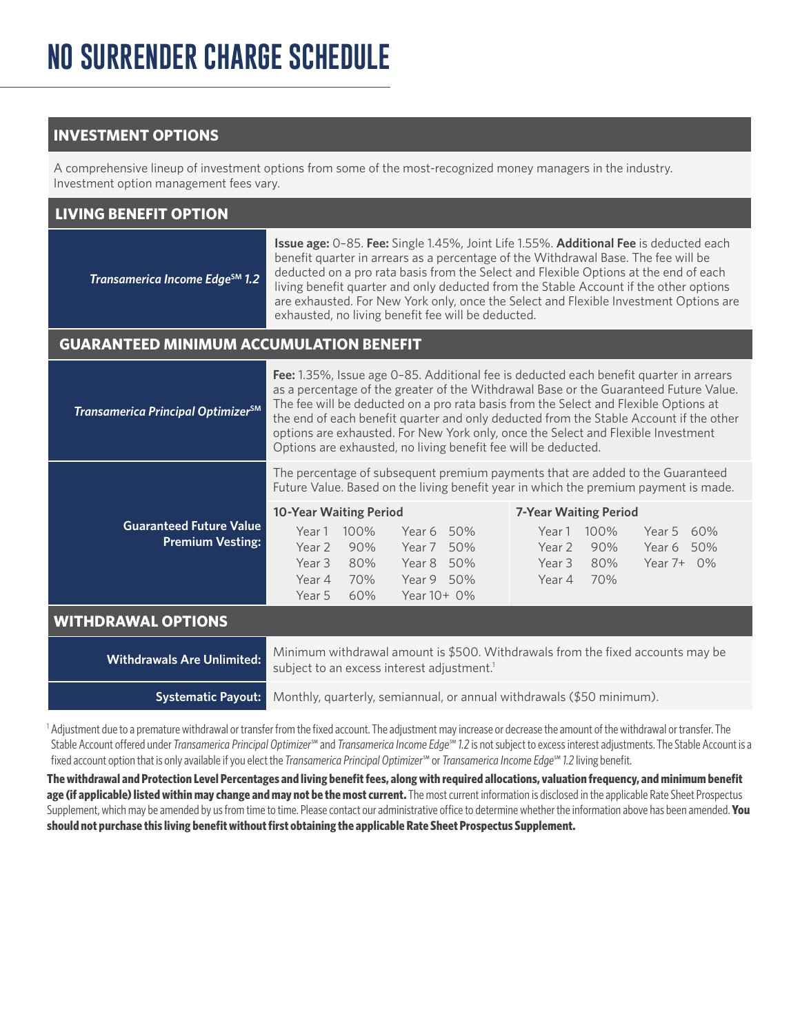# **INVESTMENT OPTIONS**

A comprehensive lineup of investment options from some of the most-recognized money managers in the industry. Investment option management fees vary.

| <b>LIVING BENEFIT OPTION</b>                              |                                                                                                                                                                                                                                                                                                                                                                                                                                                                                                                          |  |
|-----------------------------------------------------------|--------------------------------------------------------------------------------------------------------------------------------------------------------------------------------------------------------------------------------------------------------------------------------------------------------------------------------------------------------------------------------------------------------------------------------------------------------------------------------------------------------------------------|--|
| Transamerica Income Edge <sup>SM</sup> 1.2                | <b>Issue age:</b> 0-85. Fee: Single 1.45%, Joint Life 1.55%. Additional Fee is deducted each<br>benefit quarter in arrears as a percentage of the Withdrawal Base. The fee will be<br>deducted on a pro rata basis from the Select and Flexible Options at the end of each<br>living benefit quarter and only deducted from the Stable Account if the other options<br>are exhausted. For New York only, once the Select and Flexible Investment Options are<br>exhausted, no living benefit fee will be deducted.       |  |
| <b>GUARANTEED MINIMUM ACCUMULATION BENEFIT</b>            |                                                                                                                                                                                                                                                                                                                                                                                                                                                                                                                          |  |
| Transamerica Principal Optimizer <sup>SM</sup>            | Fee: 1.35%, Issue age 0-85. Additional fee is deducted each benefit quarter in arrears<br>as a percentage of the greater of the Withdrawal Base or the Guaranteed Future Value.<br>The fee will be deducted on a pro rata basis from the Select and Flexible Options at<br>the end of each benefit quarter and only deducted from the Stable Account if the other<br>options are exhausted. For New York only, once the Select and Flexible Investment<br>Options are exhausted, no living benefit fee will be deducted. |  |
|                                                           | The percentage of subsequent premium payments that are added to the Guaranteed<br>Future Value. Based on the living benefit year in which the premium payment is made.                                                                                                                                                                                                                                                                                                                                                   |  |
| <b>Guaranteed Future Value</b><br><b>Premium Vesting:</b> | <b>10-Year Waiting Period</b><br><b>7-Year Waiting Period</b><br>Year 1 100%<br>Year 6 50%<br>Year 1<br>100%<br>Year 5 60%<br>90%<br>Year 2<br>Year 7 50%<br>Year 2<br>90%<br>Year 6 50%<br>Year 3<br>80%<br>Year 8 50%<br>Year 3<br>80%<br>Year 7+ 0%<br>Year 9 50%<br>Year 4<br>Year 4<br>70%<br>70%<br>Year 5<br>60%<br>Year 10+ 0%                                                                                                                                                                                   |  |
| <b>WITHDRAWAL OPTIONS</b>                                 |                                                                                                                                                                                                                                                                                                                                                                                                                                                                                                                          |  |
| <b>Withdrawals Are Unlimited:</b>                         | Minimum withdrawal amount is \$500. Withdrawals from the fixed accounts may be<br>subject to an excess interest adjustment. <sup>1</sup>                                                                                                                                                                                                                                                                                                                                                                                 |  |
| <b>Systematic Payout:</b>                                 | Monthly, quarterly, semiannual, or annual withdrawals (\$50 minimum).                                                                                                                                                                                                                                                                                                                                                                                                                                                    |  |

1 Adjustment due to a premature withdrawal or transfer from the fixed account. The adjustment may increase or decrease the amount of the withdrawal or transfer. The Stable Account offered under *Transamerica Principal Optimizer*℠ and *Transamerica Income Edge*℠ *1.2* is not subject to excess interest adjustments. The Stable Account is a fixed account option that is only available if you elect the *Transamerica Principal Optimizer*℠ or *Transamerica Income Edge*℠ *1.2* living benefit.

**The withdrawal and Protection Level Percentages and living benefit fees, along with required allocations, valuation frequency, and minimum benefit age (if applicable) listed within may change and may not be the most current.** The most current information is disclosed in the applicable Rate Sheet Prospectus Supplement, which may be amended by us from time to time. Please contact our administrative office to determine whether the information above has been amended. **You should not purchase this living benefit without first obtaining the applicable Rate Sheet Prospectus Supplement.**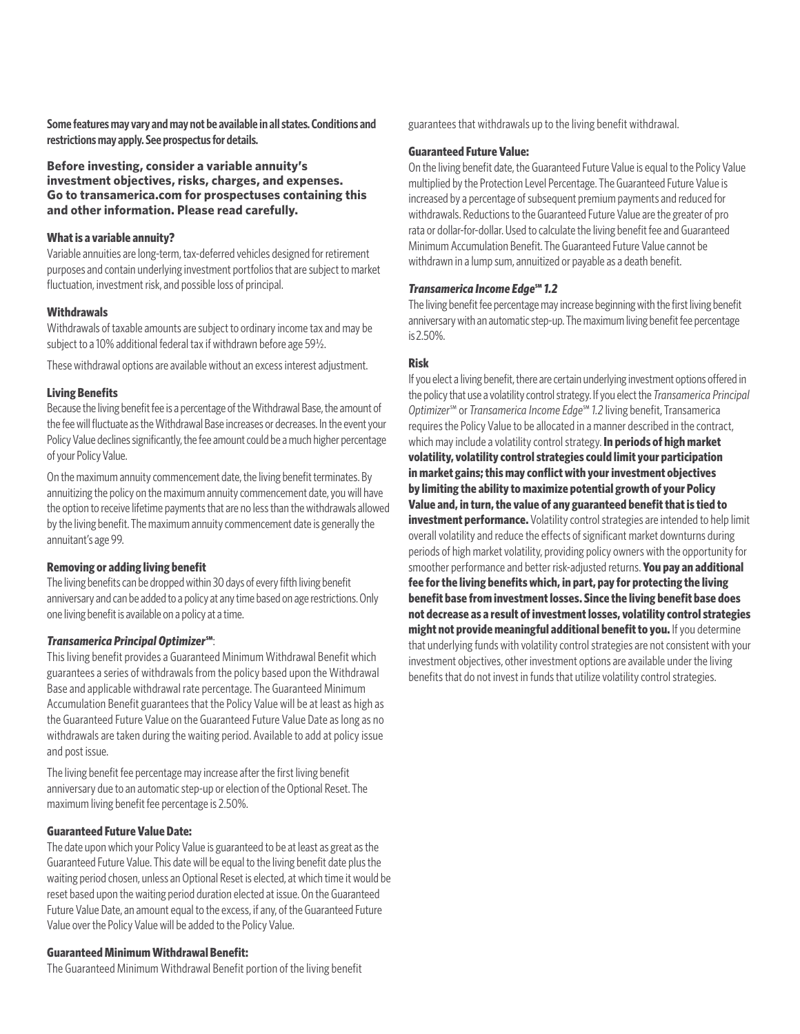**Some features may vary and may not be available in all states. Conditions and restrictions may apply. See prospectus for details.**

**Before investing, consider a variable annuity's investment objectives, risks, charges, and expenses. Go to transamerica.com for prospectuses containing this and other information. Please read carefully.**

# **What is a variable annuity?**

Variable annuities are long-term, tax-deferred vehicles designed for retirement purposes and contain underlying investment portfolios that are subject to market fluctuation, investment risk, and possible loss of principal.

# **Withdrawals**

Withdrawals of taxable amounts are subject to ordinary income tax and may be subject to a 10% additional federal tax if withdrawn before age 59½.

These withdrawal options are available without an excess interest adjustment.

### **Living Benefits**

Because the living benefit fee is a percentage of the Withdrawal Base, the amount of the fee will fluctuate as the Withdrawal Base increases or decreases. In the event your Policy Value declines significantly, the fee amount could be a much higher percentage of your Policy Value.

On the maximum annuity commencement date, the living benefit terminates. By annuitizing the policy on the maximum annuity commencement date, you will have the option to receive lifetime payments that are no less than the withdrawals allowed by the living benefit. The maximum annuity commencement date is generally the annuitant's age 99.

# **Removing or adding living benefit**

The living benefits can be dropped within 30 days of every fifth living benefit anniversary and can be added to a policy at any time based on age restrictions. Only one living benefit is available on a policy at a time.

# *Transamerica Principal Optimizer***℠**:

This living benefit provides a Guaranteed Minimum Withdrawal Benefit which guarantees a series of withdrawals from the policy based upon the Withdrawal Base and applicable withdrawal rate percentage. The Guaranteed Minimum Accumulation Benefit guarantees that the Policy Value will be at least as high as the Guaranteed Future Value on the Guaranteed Future Value Date as long as no withdrawals are taken during the waiting period. Available to add at policy issue and post issue.

The living benefit fee percentage may increase after the first living benefit anniversary due to an automatic step-up or election of the Optional Reset. The maximum living benefit fee percentage is 2.50%.

# **Guaranteed Future Value Date:**

The date upon which your Policy Value is guaranteed to be at least as great as the Guaranteed Future Value. This date will be equal to the living benefit date plus the waiting period chosen, unless an Optional Reset is elected, at which time it would be reset based upon the waiting period duration elected at issue. On the Guaranteed Future Value Date, an amount equal to the excess, if any, of the Guaranteed Future Value over the Policy Value will be added to the Policy Value.

#### **Guaranteed Minimum Withdrawal Benefit:**

The Guaranteed Minimum Withdrawal Benefit portion of the living benefit

guarantees that withdrawals up to the living benefit withdrawal.

# **Guaranteed Future Value:**

On the living benefit date, the Guaranteed Future Value is equal to the Policy Value multiplied by the Protection Level Percentage. The Guaranteed Future Value is increased by a percentage of subsequent premium payments and reduced for withdrawals. Reductions to the Guaranteed Future Value are the greater of pro rata or dollar-for-dollar. Used to calculate the living benefit fee and Guaranteed Minimum Accumulation Benefit. The Guaranteed Future Value cannot be withdrawn in a lump sum, annuitized or payable as a death benefit.

## *Transamerica Income Edge***℠** *1.2*

The living benefit fee percentage may increase beginning with the first living benefit anniversary with an automatic step-up. The maximum living benefit fee percentage is 2.50%.

### **Risk**

If you elect a living benefit, there are certain underlying investment options offered in the policy that use a volatility control strategy. If you elect the *Transamerica Principal Optimizer*℠ or *Transamerica Income Edge*℠ *1.2* living benefit, Transamerica requires the Policy Value to be allocated in a manner described in the contract, which may include a volatility control strategy. **In periods of high market volatility, volatility control strategies could limit your participation in market gains; this may conflict with your investment objectives by limiting the ability to maximize potential growth of your Policy Value and, in turn, the value of any guaranteed benefit that is tied to investment performance.** Volatility control strategies are intended to help limit overall volatility and reduce the effects of significant market downturns during periods of high market volatility, providing policy owners with the opportunity for smoother performance and better risk-adjusted returns. **You pay an additional fee for the living benefits which, in part, pay for protecting the living benefit base from investment losses. Since the living benefit base does not decrease as a result of investment losses, volatility control strategies might not provide meaningful additional benefit to you.** If you determine that underlying funds with volatility control strategies are not consistent with your investment objectives, other investment options are available under the living benefits that do not invest in funds that utilize volatility control strategies.